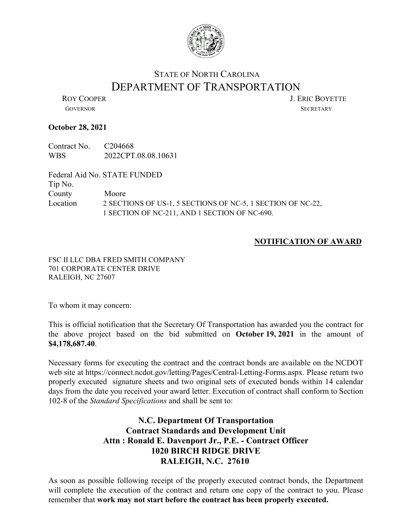

## STATE OF NORTH CAROLINA DEPARTMENT OF TRANSPORTATION<br>LERIC BOYETTE

GOVERNOR SECRETARY

## **October 28, 2021**

Contract No. C204668 WBS 2022CPT.08.08.10631

Federal Aid No. STATE FUNDED Tip No. County Moore Location 2 SECTIONS OF US-1, 5 SECTIONS OF NC-5, 1 SECTION OF NC-22, 1 SECTION OF NC-211, AND 1 SECTION OF NC-690.

## **NOTIFICATION OF AWARD**

FSC II LLC DBA FRED SMITH COMPANY 701 CORPORATE CENTER DRIVE RALEIGH, NC 27607

To whom it may concern:

This is official notification that the Secretary Of Transportation has awarded you the contract for the above project based on the bid submitted on **October 19, 2021** in the amount of **\$4,178,687.40**.

Necessary forms for executing the contract and the contract bonds are available on the NCDOT web site at https://connect.ncdot.gov/letting/Pages/Central-Letting-Forms.aspx. Please return two properly executed signature sheets and two original sets of executed bonds within 14 calendar days from the date you received your award letter. Execution of contract shall conform to Section 102-8 of the *Standard Specifications* and shall be sent to:

## **N.C. Department Of Transportation Contract Standards and Development Unit Attn : Ronald E. Davenport Jr., P.E. - Contract Officer 1020 BIRCH RIDGE DRIVE RALEIGH, N.C. 27610**

As soon as possible following receipt of the properly executed contract bonds, the Department will complete the execution of the contract and return one copy of the contract to you. Please remember that **work may not start before the contract has been properly executed.**